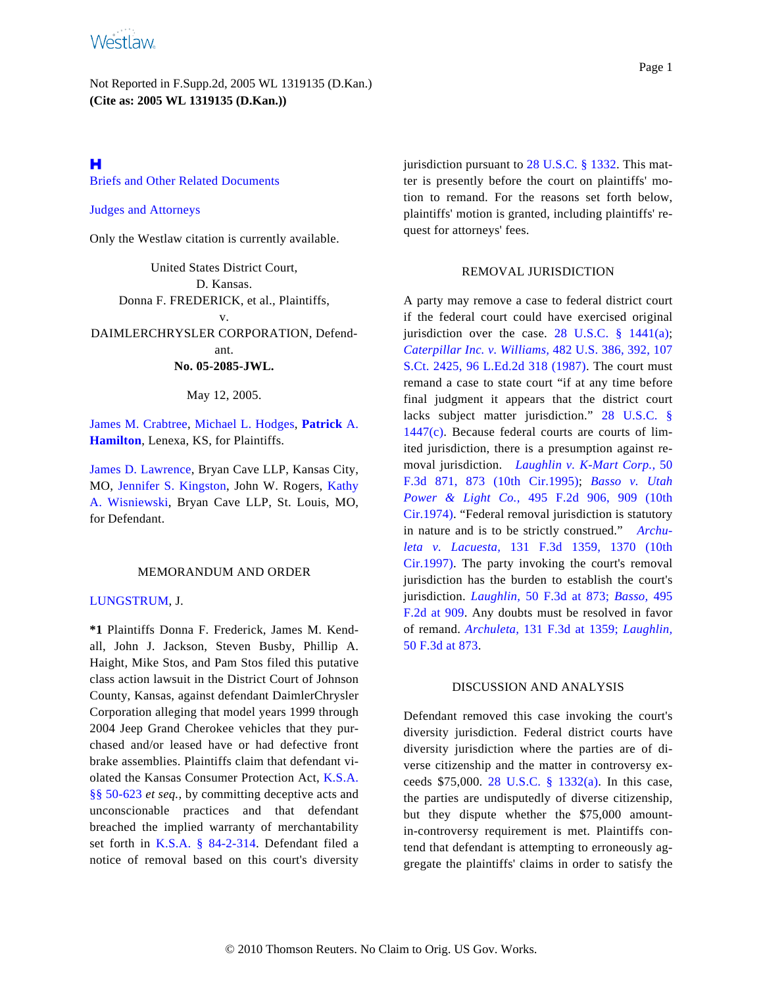Not Reported in F.Supp.2d, 2005 WL 1319135 (D.Kan.) **(Cite as: 2005 WL 1319135 (D.Kan.))**

н

<span id="page-0-0"></span>[Briefs and Other Related Documents](#page-3-0)

<span id="page-0-1"></span>[Judges and Attorneys](#page-3-1)

Only the Westlaw citation is currently available.

United States District Court, D. Kansas. Donna F. FREDERICK, et al., Plaintiffs, v. DAIMLERCHRYSLER CORPORATION, Defendant. **No. 05-2085-JWL.**

May 12, 2005.

[James M. Crabtree](http://www.westlaw.com/Find/Default.wl?rs=dfa1.0&vr=2.0&DB=PROFILER-WLD&DocName=0176283601&FindType=h), [Michael L. Hodges](http://www.westlaw.com/Find/Default.wl?rs=dfa1.0&vr=2.0&DB=PROFILER-WLD&DocName=0296405501&FindType=h), **[Patrick](http://www.westlaw.com/Find/Default.wl?rs=dfa1.0&vr=2.0&DB=PROFILER-WLD&DocName=0113579001&FindType=h)** A. **[Hamilton](http://www.westlaw.com/Find/Default.wl?rs=dfa1.0&vr=2.0&DB=PROFILER-WLD&DocName=0113579001&FindType=h)**, Lenexa, KS, for Plaintiffs.

[James D. Lawrence](http://www.westlaw.com/Find/Default.wl?rs=dfa1.0&vr=2.0&DB=PROFILER-WLD&DocName=0330273101&FindType=h), Bryan Cave LLP, Kansas City, MO, [Jennifer S. Kingston](http://www.westlaw.com/Find/Default.wl?rs=dfa1.0&vr=2.0&DB=PROFILER-WLD&DocName=0330271601&FindType=h), John W. Rogers, [Kathy](http://www.westlaw.com/Find/Default.wl?rs=dfa1.0&vr=2.0&DB=PROFILER-WLD&DocName=0193172001&FindType=h) [A. Wisniewsk](http://www.westlaw.com/Find/Default.wl?rs=dfa1.0&vr=2.0&DB=PROFILER-WLD&DocName=0193172001&FindType=h)i, Bryan Cave LLP, St. Louis, MO, for Defendant.

#### MEMORANDUM AND ORDER

# [LUNGSTRUM](http://www.westlaw.com/Find/Default.wl?rs=dfa1.0&vr=2.0&DB=PROFILER-WLD&DocName=0215240701&FindType=h), J.

**\*1** Plaintiffs Donna F. Frederick, James M. Kendall, John J. Jackson, Steven Busby, Phillip A. Haight, Mike Stos, and Pam Stos filed this putative class action lawsuit in the District Court of Johnson County, Kansas, against defendant DaimlerChrysler Corporation alleging that model years 1999 through 2004 Jeep Grand Cherokee vehicles that they purchased and/or leased have or had defective front brake assemblies. Plaintiffs claim that defendant violated the Kansas Consumer Protection Act, [K.S.A.](http://www.westlaw.com/Find/Default.wl?rs=dfa1.0&vr=2.0&DB=1001553&DocName=KSSTS50-623&FindType=L) [§§ 50-623](http://www.westlaw.com/Find/Default.wl?rs=dfa1.0&vr=2.0&DB=1001553&DocName=KSSTS50-623&FindType=L) *et seq.,* by committing deceptive acts and unconscionable practices and that defendant breached the implied warranty of merchantability set forth in [K.S.A. § 84-2-31](http://www.westlaw.com/Find/Default.wl?rs=dfa1.0&vr=2.0&DB=1001553&DocName=KSSTS84-2-314&FindType=L)4. Defendant filed a notice of removal based on this court's diversity jurisdiction pursuant to [28 U.S.C. § 1332](http://www.westlaw.com/Find/Default.wl?rs=dfa1.0&vr=2.0&DB=1000546&DocName=28USCAS1332&FindType=L). This matter is presently before the court on plaintiffs' motion to remand. For the reasons set forth below, plaintiffs' motion is granted, including plaintiffs' request for attorneys' fees.

### REMOVAL JURISDICTION

A party may remove a case to federal district court if the federal court could have exercised original jurisdiction over the case. 28 U.S.C.  $\S$  1441(a); *[Caterpillar Inc. v. Williams](http://www.westlaw.com/Find/Default.wl?rs=dfa1.0&vr=2.0&DB=708&FindType=Y&SerialNum=1987071665),* [482 U.S. 386, 392, 107](http://www.westlaw.com/Find/Default.wl?rs=dfa1.0&vr=2.0&DB=708&FindType=Y&SerialNum=1987071665) [S.Ct. 2425, 96 L.Ed.2d 318 \(1987](http://www.westlaw.com/Find/Default.wl?rs=dfa1.0&vr=2.0&DB=708&FindType=Y&SerialNum=1987071665)). The court must remand a case to state court "if at any time before final judgment it appears that the district court lacks subject matter jurisdiction." [28 U.S.C.](http://www.westlaw.com/Find/Default.wl?rs=dfa1.0&vr=2.0&DB=1000546&DocName=28USCAS1447&FindType=L) § [1447\(c\)](http://www.westlaw.com/Find/Default.wl?rs=dfa1.0&vr=2.0&DB=1000546&DocName=28USCAS1447&FindType=L). Because federal courts are courts of limited jurisdiction, there is a presumption against removal jurisdiction. *[Laughlin v. K-Mart Corp.,](http://www.westlaw.com/Find/Default.wl?rs=dfa1.0&vr=2.0&DB=506&FindType=Y&ReferencePositionType=S&SerialNum=1995069438&ReferencePosition=873)* 50 [F.3d 871, 873 \(10th Cir.19](http://www.westlaw.com/Find/Default.wl?rs=dfa1.0&vr=2.0&DB=506&FindType=Y&ReferencePositionType=S&SerialNum=1995069438&ReferencePosition=873)95); *[Basso v. Uta](http://www.westlaw.com/Find/Default.wl?rs=dfa1.0&vr=2.0&DB=350&FindType=Y&ReferencePositionType=S&SerialNum=1974110223&ReferencePosition=909)h [Power & Light C](http://www.westlaw.com/Find/Default.wl?rs=dfa1.0&vr=2.0&DB=350&FindType=Y&ReferencePositionType=S&SerialNum=1974110223&ReferencePosition=909)o.,* [495 F.2d 906, 909 \(](http://www.westlaw.com/Find/Default.wl?rs=dfa1.0&vr=2.0&DB=350&FindType=Y&ReferencePositionType=S&SerialNum=1974110223&ReferencePosition=909)10th [Cir.1974\).](http://www.westlaw.com/Find/Default.wl?rs=dfa1.0&vr=2.0&DB=350&FindType=Y&ReferencePositionType=S&SerialNum=1974110223&ReferencePosition=909) "Federal removal jurisdiction is statutory in nature and is to be strictly construed." *[Archu](http://www.westlaw.com/Find/Default.wl?rs=dfa1.0&vr=2.0&DB=506&FindType=Y&ReferencePositionType=S&SerialNum=1997237219&ReferencePosition=1370)[leta v. Lacues](http://www.westlaw.com/Find/Default.wl?rs=dfa1.0&vr=2.0&DB=506&FindType=Y&ReferencePositionType=S&SerialNum=1997237219&ReferencePosition=1370)ta,* [131 F.3d 1359, 1370](http://www.westlaw.com/Find/Default.wl?rs=dfa1.0&vr=2.0&DB=506&FindType=Y&ReferencePositionType=S&SerialNum=1997237219&ReferencePosition=1370) (10th [Cir.1997\).](http://www.westlaw.com/Find/Default.wl?rs=dfa1.0&vr=2.0&DB=506&FindType=Y&ReferencePositionType=S&SerialNum=1997237219&ReferencePosition=1370) The party invoking the court's removal jurisdiction has the burden to establish the court's jurisdiction. *[Laughlin](http://www.westlaw.com/Find/Default.wl?rs=dfa1.0&vr=2.0&DB=506&FindType=Y&ReferencePositionType=S&SerialNum=1995069438&ReferencePosition=873),* [50 F.3d at 87](http://www.westlaw.com/Find/Default.wl?rs=dfa1.0&vr=2.0&DB=506&FindType=Y&ReferencePositionType=S&SerialNum=1995069438&ReferencePosition=873)3; *[Basso,](http://www.westlaw.com/Find/Default.wl?rs=dfa1.0&vr=2.0&DB=350&FindType=Y&ReferencePositionType=S&SerialNum=1974110223&ReferencePosition=909)* 495 [F.2d at 909](http://www.westlaw.com/Find/Default.wl?rs=dfa1.0&vr=2.0&DB=350&FindType=Y&ReferencePositionType=S&SerialNum=1974110223&ReferencePosition=909). Any doubts must be resolved in favor of remand. *[Archuleta](http://www.westlaw.com/Find/Default.wl?rs=dfa1.0&vr=2.0&DB=506&FindType=Y&ReferencePositionType=S&SerialNum=1997237219&ReferencePosition=1359),* [131 F.3d at 1359](http://www.westlaw.com/Find/Default.wl?rs=dfa1.0&vr=2.0&DB=506&FindType=Y&ReferencePositionType=S&SerialNum=1997237219&ReferencePosition=1359); *[Laughlin](http://www.westlaw.com/Find/Default.wl?rs=dfa1.0&vr=2.0&DB=506&FindType=Y&ReferencePositionType=S&SerialNum=1995069438&ReferencePosition=873),* [50 F.3d at 873](http://www.westlaw.com/Find/Default.wl?rs=dfa1.0&vr=2.0&DB=506&FindType=Y&ReferencePositionType=S&SerialNum=1995069438&ReferencePosition=873).

### DISCUSSION AND ANALYSIS

Defendant removed this case invoking the court's diversity jurisdiction. Federal district courts have diversity jurisdiction where the parties are of diverse citizenship and the matter in controversy exceeds \$75,000. [28 U.S.C. § 1332\(](http://www.westlaw.com/Find/Default.wl?rs=dfa1.0&vr=2.0&DB=1000546&DocName=28USCAS1332&FindType=L)a). In this case, the parties are undisputedly of diverse citizenship, but they dispute whether the \$75,000 amountin-controversy requirement is met. Plaintiffs contend that defendant is attempting to erroneously aggregate the plaintiffs' claims in order to satisfy the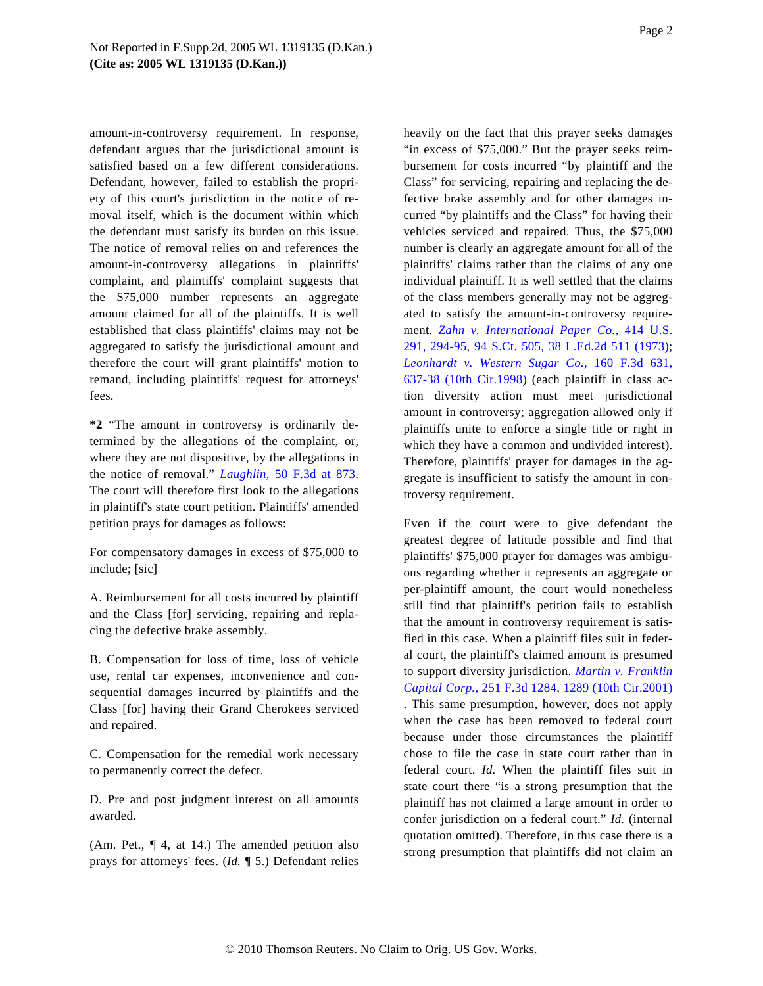amount-in-controversy requirement. In response, defendant argues that the jurisdictional amount is satisfied based on a few different considerations. Defendant, however, failed to establish the propriety of this court's jurisdiction in the notice of removal itself, which is the document within which the defendant must satisfy its burden on this issue. The notice of removal relies on and references the amount-in-controversy allegations in plaintiffs' complaint, and plaintiffs' complaint suggests that the \$75,000 number represents an aggregate amount claimed for all of the plaintiffs. It is well established that class plaintiffs' claims may not be aggregated to satisfy the jurisdictional amount and therefore the court will grant plaintiffs' motion to remand, including plaintiffs' request for attorneys' fees.

**\*2** "The amount in controversy is ordinarily determined by the allegations of the complaint, or, where they are not dispositive, by the allegations in the notice of removal." *[Laughlin,](http://www.westlaw.com/Find/Default.wl?rs=dfa1.0&vr=2.0&DB=506&FindType=Y&ReferencePositionType=S&SerialNum=1995069438&ReferencePosition=873)* [50 F.3d at 87](http://www.westlaw.com/Find/Default.wl?rs=dfa1.0&vr=2.0&DB=506&FindType=Y&ReferencePositionType=S&SerialNum=1995069438&ReferencePosition=873)3. The court will therefore first look to the allegations in plaintiff's state court petition. Plaintiffs' amended petition prays for damages as follows:

For compensatory damages in excess of \$75,000 to include; [sic]

A. Reimbursement for all costs incurred by plaintiff and the Class [for] servicing, repairing and replacing the defective brake assembly.

B. Compensation for loss of time, loss of vehicle use, rental car expenses, inconvenience and consequential damages incurred by plaintiffs and the Class [for] having their Grand Cherokees serviced and repaired.

C. Compensation for the remedial work necessary to permanently correct the defect.

D. Pre and post judgment interest on all amounts awarded.

(Am. Pet., ¶ 4, at 14.) The amended petition also prays for attorneys' fees. (*Id.* ¶ 5.) Defendant relies heavily on the fact that this prayer seeks damages "in excess of \$75,000." But the prayer seeks reimbursement for costs incurred "by plaintiff and the Class" for servicing, repairing and replacing the defective brake assembly and for other damages incurred "by plaintiffs and the Class" for having their vehicles serviced and repaired. Thus, the \$75,000 number is clearly an aggregate amount for all of the plaintiffs' claims rather than the claims of any one individual plaintiff. It is well settled that the claims of the class members generally may not be aggregated to satisfy the amount-in-controversy requirement. *[Zahn v. International Paper C](http://www.westlaw.com/Find/Default.wl?rs=dfa1.0&vr=2.0&DB=708&FindType=Y&SerialNum=1973137119)o.,* [414 U.S](http://www.westlaw.com/Find/Default.wl?rs=dfa1.0&vr=2.0&DB=708&FindType=Y&SerialNum=1973137119). [291, 294-95, 94 S.Ct. 505, 38 L.Ed.2d 511 \(197](http://www.westlaw.com/Find/Default.wl?rs=dfa1.0&vr=2.0&DB=708&FindType=Y&SerialNum=1973137119)3); *[Leonhardt v. Western Sugar C](http://www.westlaw.com/Find/Default.wl?rs=dfa1.0&vr=2.0&DB=506&FindType=Y&ReferencePositionType=S&SerialNum=1998232973&ReferencePosition=637)o.,* [160 F.3d 63](http://www.westlaw.com/Find/Default.wl?rs=dfa1.0&vr=2.0&DB=506&FindType=Y&ReferencePositionType=S&SerialNum=1998232973&ReferencePosition=637)1, [637-38 \(10th Cir.1998](http://www.westlaw.com/Find/Default.wl?rs=dfa1.0&vr=2.0&DB=506&FindType=Y&ReferencePositionType=S&SerialNum=1998232973&ReferencePosition=637)) (each plaintiff in class action diversity action must meet jurisdictional amount in controversy; aggregation allowed only if plaintiffs unite to enforce a single title or right in which they have a common and undivided interest). Therefore, plaintiffs' prayer for damages in the aggregate is insufficient to satisfy the amount in controversy requirement.

Even if the court were to give defendant the greatest degree of latitude possible and find that plaintiffs' \$75,000 prayer for damages was ambiguous regarding whether it represents an aggregate or per-plaintiff amount, the court would nonetheless still find that plaintiff's petition fails to establish that the amount in controversy requirement is satisfied in this case. When a plaintiff files suit in federal court, the plaintiff's claimed amount is presumed to support diversity jurisdiction. *[Martin v. Franklin](http://www.westlaw.com/Find/Default.wl?rs=dfa1.0&vr=2.0&DB=506&FindType=Y&ReferencePositionType=S&SerialNum=2001483366&ReferencePosition=1289) [Capital Corp.](http://www.westlaw.com/Find/Default.wl?rs=dfa1.0&vr=2.0&DB=506&FindType=Y&ReferencePositionType=S&SerialNum=2001483366&ReferencePosition=1289),* [251 F.3d 1284, 1289 \(10th Cir.2001\)](http://www.westlaw.com/Find/Default.wl?rs=dfa1.0&vr=2.0&DB=506&FindType=Y&ReferencePositionType=S&SerialNum=2001483366&ReferencePosition=1289) . This same presumption, however, does not apply when the case has been removed to federal court because under those circumstances the plaintiff chose to file the case in state court rather than in federal court. *Id.* When the plaintiff files suit in state court there "is a strong presumption that the plaintiff has not claimed a large amount in order to confer jurisdiction on a federal court." *Id.* (internal quotation omitted). Therefore, in this case there is a strong presumption that plaintiffs did not claim an

Page 2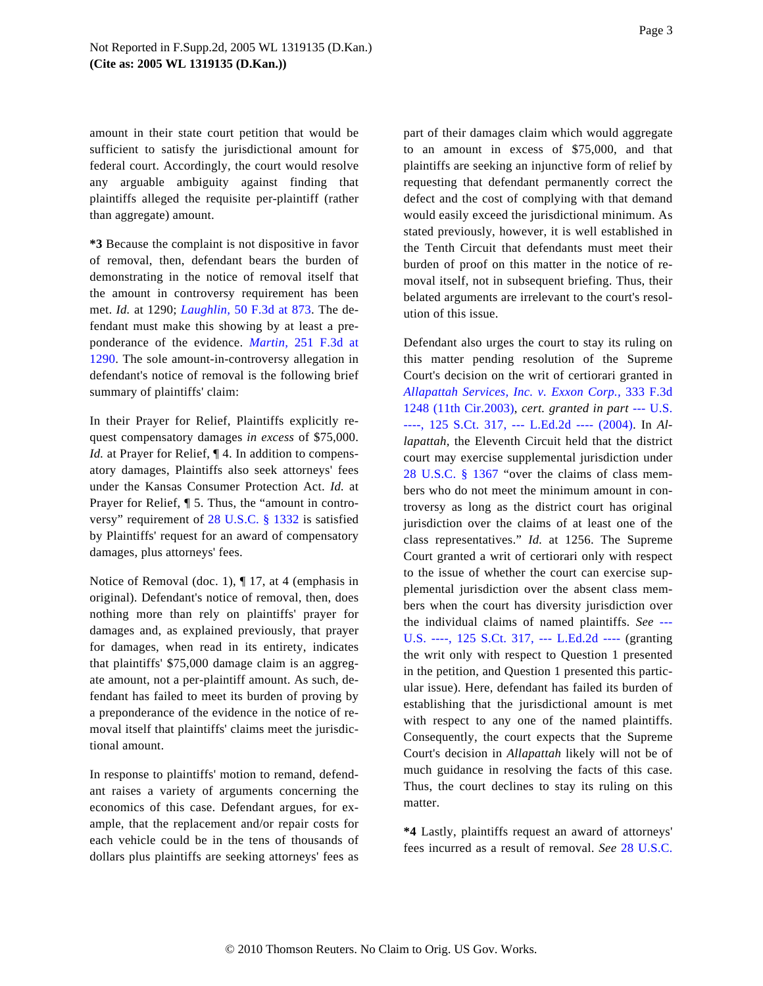amount in their state court petition that would be sufficient to satisfy the jurisdictional amount for federal court. Accordingly, the court would resolve any arguable ambiguity against finding that plaintiffs alleged the requisite per-plaintiff (rather than aggregate) amount.

**\*3** Because the complaint is not dispositive in favor of removal, then, defendant bears the burden of demonstrating in the notice of removal itself that the amount in controversy requirement has been met. *Id.* at 1290; *[Laughlin](http://www.westlaw.com/Find/Default.wl?rs=dfa1.0&vr=2.0&DB=506&FindType=Y&ReferencePositionType=S&SerialNum=1995069438&ReferencePosition=873),* [50 F.3d at 873](http://www.westlaw.com/Find/Default.wl?rs=dfa1.0&vr=2.0&DB=506&FindType=Y&ReferencePositionType=S&SerialNum=1995069438&ReferencePosition=873). The defendant must make this showing by at least a preponderance of the evidence. *[Martin,](http://www.westlaw.com/Find/Default.wl?rs=dfa1.0&vr=2.0&DB=506&FindType=Y&ReferencePositionType=S&SerialNum=2001483366&ReferencePosition=1290)* [251 F.3d a](http://www.westlaw.com/Find/Default.wl?rs=dfa1.0&vr=2.0&DB=506&FindType=Y&ReferencePositionType=S&SerialNum=2001483366&ReferencePosition=1290)t [1290.](http://www.westlaw.com/Find/Default.wl?rs=dfa1.0&vr=2.0&DB=506&FindType=Y&ReferencePositionType=S&SerialNum=2001483366&ReferencePosition=1290) The sole amount-in-controversy allegation in defendant's notice of removal is the following brief summary of plaintiffs' claim:

In their Prayer for Relief, Plaintiffs explicitly request compensatory damages *in excess* of \$75,000. *Id.* at Prayer for Relief,  $\P$  4. In addition to compensatory damages, Plaintiffs also seek attorneys' fees under the Kansas Consumer Protection Act. *Id.* at Prayer for Relief, ¶ 5. Thus, the "amount in controversy" requirement of [28 U.S.C. § 1332](http://www.westlaw.com/Find/Default.wl?rs=dfa1.0&vr=2.0&DB=1000546&DocName=28USCAS1332&FindType=L) is satisfied by Plaintiffs' request for an award of compensatory damages, plus attorneys' fees.

Notice of Removal (doc. 1), ¶ 17, at 4 (emphasis in original). Defendant's notice of removal, then, does nothing more than rely on plaintiffs' prayer for damages and, as explained previously, that prayer for damages, when read in its entirety, indicates that plaintiffs' \$75,000 damage claim is an aggregate amount, not a per-plaintiff amount. As such, defendant has failed to meet its burden of proving by a preponderance of the evidence in the notice of removal itself that plaintiffs' claims meet the jurisdictional amount.

In response to plaintiffs' motion to remand, defendant raises a variety of arguments concerning the economics of this case. Defendant argues, for example, that the replacement and/or repair costs for each vehicle could be in the tens of thousands of dollars plus plaintiffs are seeking attorneys' fees as part of their damages claim which would aggregate to an amount in excess of \$75,000, and that plaintiffs are seeking an injunctive form of relief by requesting that defendant permanently correct the defect and the cost of complying with that demand would easily exceed the jurisdictional minimum. As stated previously, however, it is well established in the Tenth Circuit that defendants must meet their burden of proof on this matter in the notice of removal itself, not in subsequent briefing. Thus, their belated arguments are irrelevant to the court's resolution of this issue.

Defendant also urges the court to stay its ruling on this matter pending resolution of the Supreme Court's decision on the writ of certiorari granted in *[Allapattah Services, Inc. v. Exxon Corp](http://www.westlaw.com/Find/Default.wl?rs=dfa1.0&vr=2.0&DB=506&FindType=Y&SerialNum=2003419335).,* [333 F.3d](http://www.westlaw.com/Find/Default.wl?rs=dfa1.0&vr=2.0&DB=506&FindType=Y&SerialNum=2003419335) [1248 \(11th Cir.2003](http://www.westlaw.com/Find/Default.wl?rs=dfa1.0&vr=2.0&DB=506&FindType=Y&SerialNum=2003419335)), *cert. granted in part* [--- U.S.](http://www.westlaw.com/Find/Default.wl?rs=dfa1.0&vr=2.0&DB=708&FindType=Y&SerialNum=2005115081) [----, 125 S.Ct. 317, --- L.Ed.2d ---- \(200](http://www.westlaw.com/Find/Default.wl?rs=dfa1.0&vr=2.0&DB=708&FindType=Y&SerialNum=2005115081)4). In *Allapattah,* the Eleventh Circuit held that the district court may exercise supplemental jurisdiction under [28 U.S.C. § 136](http://www.westlaw.com/Find/Default.wl?rs=dfa1.0&vr=2.0&DB=1000546&DocName=28USCAS1367&FindType=L)7 "over the claims of class members who do not meet the minimum amount in controversy as long as the district court has original jurisdiction over the claims of at least one of the class representatives." *Id.* at 1256. The Supreme Court granted a writ of certiorari only with respect to the issue of whether the court can exercise supplemental jurisdiction over the absent class members when the court has diversity jurisdiction over the individual claims of named plaintiffs. *See* [---](http://www.westlaw.com/Find/Default.wl?rs=dfa1.0&vr=2.0&DB=708&FindType=Y&SerialNum=2005115081) [U.S. ----, 125 S.Ct. 317, --- L.Ed.2d -](http://www.westlaw.com/Find/Default.wl?rs=dfa1.0&vr=2.0&DB=708&FindType=Y&SerialNum=2005115081)--- (granting the writ only with respect to Question 1 presented in the petition, and Question 1 presented this particular issue). Here, defendant has failed its burden of establishing that the jurisdictional amount is met with respect to any one of the named plaintiffs. Consequently, the court expects that the Supreme Court's decision in *Allapattah* likely will not be of much guidance in resolving the facts of this case. Thus, the court declines to stay its ruling on this matter.

**\*4** Lastly, plaintiffs request an award of attorneys' fees incurred as a result of removal. *See* 28 U.S.C.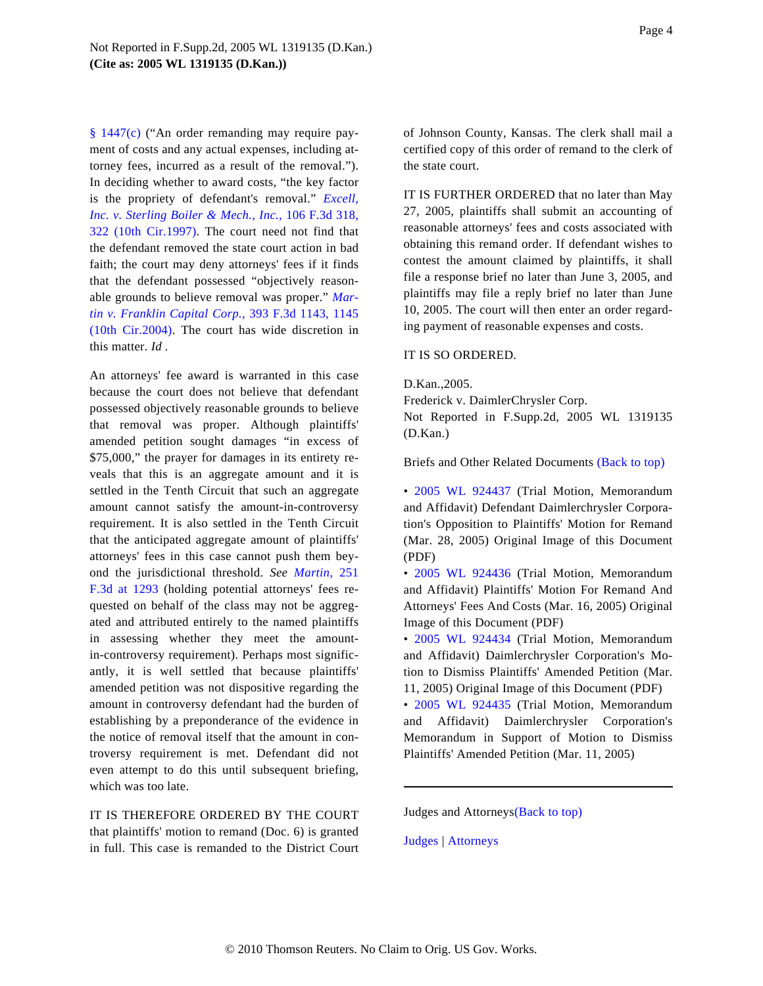[§ 1447\(c](http://www.westlaw.com/Find/Default.wl?rs=dfa1.0&vr=2.0&DB=1000546&DocName=28USCAS1447&FindType=L)) ("An order remanding may require payment of costs and any actual expenses, including attorney fees, incurred as a result of the removal."). In deciding whether to award costs, "the key factor is the propriety of defendant's removal." *[Excell,](http://www.westlaw.com/Find/Default.wl?rs=dfa1.0&vr=2.0&DB=506&FindType=Y&ReferencePositionType=S&SerialNum=1997045966&ReferencePosition=322) [Inc. v. Sterling Boiler & Mech., Inc](http://www.westlaw.com/Find/Default.wl?rs=dfa1.0&vr=2.0&DB=506&FindType=Y&ReferencePositionType=S&SerialNum=1997045966&ReferencePosition=322).,* [106 F.3d 318,](http://www.westlaw.com/Find/Default.wl?rs=dfa1.0&vr=2.0&DB=506&FindType=Y&ReferencePositionType=S&SerialNum=1997045966&ReferencePosition=322) [322 \(10th Cir.1997](http://www.westlaw.com/Find/Default.wl?rs=dfa1.0&vr=2.0&DB=506&FindType=Y&ReferencePositionType=S&SerialNum=1997045966&ReferencePosition=322)). The court need not find that the defendant removed the state court action in bad faith; the court may deny attorneys' fees if it finds that the defendant possessed "objectively reasonable grounds to believe removal was proper." *[Mar](http://www.westlaw.com/Find/Default.wl?rs=dfa1.0&vr=2.0&DB=506&FindType=Y&ReferencePositionType=S&SerialNum=2005870747&ReferencePosition=1145)[tin v. Franklin Capital Corp.](http://www.westlaw.com/Find/Default.wl?rs=dfa1.0&vr=2.0&DB=506&FindType=Y&ReferencePositionType=S&SerialNum=2005870747&ReferencePosition=1145),* [393 F.3d 1143, 1145](http://www.westlaw.com/Find/Default.wl?rs=dfa1.0&vr=2.0&DB=506&FindType=Y&ReferencePositionType=S&SerialNum=2005870747&ReferencePosition=1145) [\(10th Cir.2004](http://www.westlaw.com/Find/Default.wl?rs=dfa1.0&vr=2.0&DB=506&FindType=Y&ReferencePositionType=S&SerialNum=2005870747&ReferencePosition=1145)). The court has wide discretion in this matter. *Id .*

<span id="page-3-0"></span>An attorneys' fee award is warranted in this case because the court does not believe that defendant possessed objectively reasonable grounds to believe that removal was proper. Although plaintiffs' amended petition sought damages "in excess of \$75,000," the prayer for damages in its entirety reveals that this is an aggregate amount and it is settled in the Tenth Circuit that such an aggregate amount cannot satisfy the amount-in-controversy requirement. It is also settled in the Tenth Circuit that the anticipated aggregate amount of plaintiffs' attorneys' fees in this case cannot push them beyond the jurisdictional threshold. *See [Martin,](http://www.westlaw.com/Find/Default.wl?rs=dfa1.0&vr=2.0&DB=506&FindType=Y&ReferencePositionType=S&SerialNum=2001483366&ReferencePosition=1293)* 251 [F.3d at 129](http://www.westlaw.com/Find/Default.wl?rs=dfa1.0&vr=2.0&DB=506&FindType=Y&ReferencePositionType=S&SerialNum=2001483366&ReferencePosition=1293)3 (holding potential attorneys' fees requested on behalf of the class may not be aggregated and attributed entirely to the named plaintiffs in assessing whether they meet the amountin-controversy requirement). Perhaps most significantly, it is well settled that because plaintiffs' amended petition was not dispositive regarding the amount in controversy defendant had the burden of establishing by a preponderance of the evidence in the notice of removal itself that the amount in controversy requirement is met. Defendant did not even attempt to do this until subsequent briefing, which was too late.

<span id="page-3-1"></span>IT IS THEREFORE ORDERED BY THE COURT that plaintiffs' motion to remand (Doc. 6) is granted in full. This case is remanded to the District Court of Johnson County, Kansas. The clerk shall mail a certified copy of this order of remand to the clerk of the state court.

IT IS FURTHER ORDERED that no later than May 27, 2005, plaintiffs shall submit an accounting of reasonable attorneys' fees and costs associated with obtaining this remand order. If defendant wishes to contest the amount claimed by plaintiffs, it shall file a response brief no later than June 3, 2005, and plaintiffs may file a reply brief no later than June 10, 2005. The court will then enter an order regarding payment of reasonable expenses and costs.

# IT IS SO ORDERED.

D.Kan.,2005.

Frederick v. DaimlerChrysler Corp.

Not Reported in F.Supp.2d, 2005 WL 1319135 (D.Kan.)

Briefs and Other Related Documents [\(Back to top\)](#page-0-0)

• [2005 WL 92443](http://www.westlaw.com/Find/Default.wl?rs=dfa1.0&vr=2.0&FindType=Y&SerialNum=2006511505)7 (Trial Motion, Memorandum and Affidavit) Defendant Daimlerchrysler Corporation's Opposition to Plaintiffs' Motion for Remand (Mar. 28, 2005) Original Image of this Document (PDF)

• [2005 WL 92443](http://www.westlaw.com/Find/Default.wl?rs=dfa1.0&vr=2.0&FindType=Y&SerialNum=2006511504)6 (Trial Motion, Memorandum and Affidavit) Plaintiffs' Motion For Remand And Attorneys' Fees And Costs (Mar. 16, 2005) Original Image of this Document (PDF)

• [2005 WL 92443](http://www.westlaw.com/Find/Default.wl?rs=dfa1.0&vr=2.0&FindType=Y&SerialNum=2006511502)4 (Trial Motion, Memorandum and Affidavit) Daimlerchrysler Corporation's Motion to Dismiss Plaintiffs' Amended Petition (Mar. 11, 2005) Original Image of this Document (PDF)

• [2005 WL 92443](http://www.westlaw.com/Find/Default.wl?rs=dfa1.0&vr=2.0&FindType=Y&SerialNum=2006511503)5 (Trial Motion, Memorandum and Affidavit) Daimlerchrysler Corporation's Memorandum in Support of Motion to Dismiss Plaintiffs' Amended Petition (Mar. 11, 2005)

Judges and [Attorneys\(Back to top\)](#page-0-1)

[Judges](#page-4-0) | [Attorneys](#page-4-1)